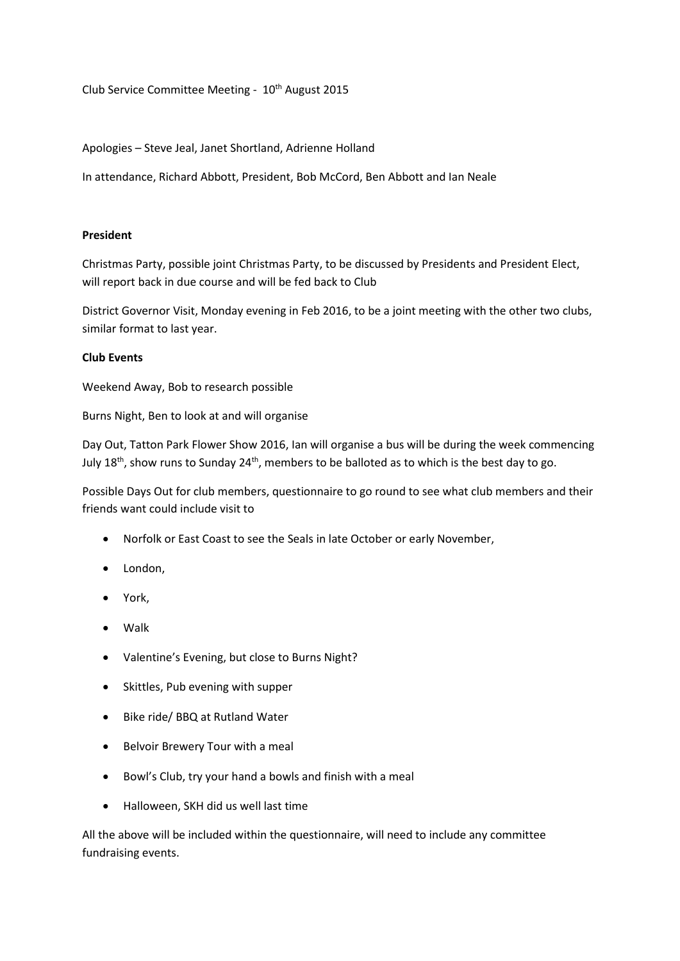Club Service Committee Meeting -  $10<sup>th</sup>$  August 2015

## Apologies – Steve Jeal, Janet Shortland, Adrienne Holland

In attendance, Richard Abbott, President, Bob McCord, Ben Abbott and Ian Neale

## **President**

Christmas Party, possible joint Christmas Party, to be discussed by Presidents and President Elect, will report back in due course and will be fed back to Club

District Governor Visit, Monday evening in Feb 2016, to be a joint meeting with the other two clubs, similar format to last year.

## **Club Events**

Weekend Away, Bob to research possible

Burns Night, Ben to look at and will organise

Day Out, Tatton Park Flower Show 2016, Ian will organise a bus will be during the week commencing July  $18<sup>th</sup>$ , show runs to Sunday  $24<sup>th</sup>$ , members to be balloted as to which is the best day to go.

Possible Days Out for club members, questionnaire to go round to see what club members and their friends want could include visit to

- Norfolk or East Coast to see the Seals in late October or early November,
- London,
- York,
- Walk
- Valentine's Evening, but close to Burns Night?
- Skittles, Pub evening with supper
- Bike ride/ BBQ at Rutland Water
- Belvoir Brewery Tour with a meal
- Bowl's Club, try your hand a bowls and finish with a meal
- Halloween, SKH did us well last time

All the above will be included within the questionnaire, will need to include any committee fundraising events.